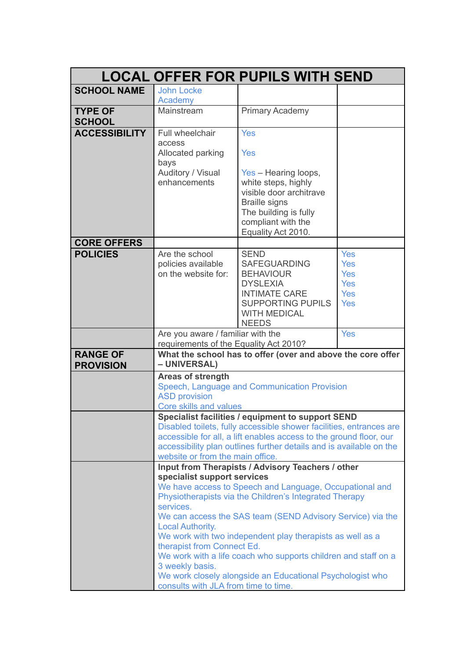| <b>LOCAL OFFER FOR PUPILS WITH SEND</b>           |                                                                                                                                           |                                                                                                                                                                     |                          |  |  |
|---------------------------------------------------|-------------------------------------------------------------------------------------------------------------------------------------------|---------------------------------------------------------------------------------------------------------------------------------------------------------------------|--------------------------|--|--|
| <b>SCHOOL NAME</b>                                | <b>John Locke</b>                                                                                                                         |                                                                                                                                                                     |                          |  |  |
|                                                   | Academy                                                                                                                                   |                                                                                                                                                                     |                          |  |  |
| <b>TYPE OF</b><br><b>SCHOOL</b>                   | Mainstream                                                                                                                                | <b>Primary Academy</b>                                                                                                                                              |                          |  |  |
| <b>ACCESSIBILITY</b>                              | Full wheelchair                                                                                                                           | <b>Yes</b>                                                                                                                                                          |                          |  |  |
|                                                   | access<br>Allocated parking<br>bays                                                                                                       | <b>Yes</b>                                                                                                                                                          |                          |  |  |
|                                                   | Auditory / Visual<br>enhancements                                                                                                         | Yes - Hearing loops,<br>white steps, highly<br>visible door architrave<br><b>Braille signs</b><br>The building is fully<br>compliant with the<br>Equality Act 2010. |                          |  |  |
| <b>CORE OFFERS</b>                                |                                                                                                                                           |                                                                                                                                                                     |                          |  |  |
| <b>POLICIES</b>                                   | Are the school<br>policies available                                                                                                      | <b>SEND</b><br><b>SAFEGUARDING</b>                                                                                                                                  | <b>Yes</b><br><b>Yes</b> |  |  |
|                                                   | on the website for:                                                                                                                       | <b>BEHAVIOUR</b>                                                                                                                                                    | <b>Yes</b>               |  |  |
|                                                   |                                                                                                                                           | <b>DYSLEXIA</b>                                                                                                                                                     | <b>Yes</b>               |  |  |
|                                                   |                                                                                                                                           | <b>INTIMATE CARE</b>                                                                                                                                                | <b>Yes</b>               |  |  |
|                                                   |                                                                                                                                           | <b>SUPPORTING PUPILS</b>                                                                                                                                            | <b>Yes</b>               |  |  |
|                                                   |                                                                                                                                           | <b>WITH MEDICAL</b>                                                                                                                                                 |                          |  |  |
|                                                   |                                                                                                                                           | <b>NEEDS</b>                                                                                                                                                        |                          |  |  |
|                                                   | <b>Yes</b><br>Are you aware / familiar with the<br>requirements of the Equality Act 2010?                                                 |                                                                                                                                                                     |                          |  |  |
|                                                   |                                                                                                                                           |                                                                                                                                                                     |                          |  |  |
| <b>RANGE OF</b><br><b>PROVISION</b>               | What the school has to offer (over and above the core offer<br>- UNIVERSAL)                                                               |                                                                                                                                                                     |                          |  |  |
|                                                   | <b>Areas of strength</b>                                                                                                                  |                                                                                                                                                                     |                          |  |  |
|                                                   | Speech, Language and Communication Provision                                                                                              |                                                                                                                                                                     |                          |  |  |
|                                                   | <b>ASD provision</b>                                                                                                                      |                                                                                                                                                                     |                          |  |  |
|                                                   | Core skills and values                                                                                                                    |                                                                                                                                                                     |                          |  |  |
|                                                   | Specialist facilities / equipment to support SEND                                                                                         |                                                                                                                                                                     |                          |  |  |
|                                                   | Disabled toilets, fully accessible shower facilities, entrances are<br>accessible for all, a lift enables access to the ground floor, our |                                                                                                                                                                     |                          |  |  |
|                                                   | accessibility plan outlines further details and is available on the                                                                       |                                                                                                                                                                     |                          |  |  |
|                                                   | website or from the main office.                                                                                                          |                                                                                                                                                                     |                          |  |  |
| Input from Therapists / Advisory Teachers / other |                                                                                                                                           |                                                                                                                                                                     |                          |  |  |
|                                                   | specialist support services                                                                                                               |                                                                                                                                                                     |                          |  |  |
|                                                   | We have access to Speech and Language, Occupational and                                                                                   |                                                                                                                                                                     |                          |  |  |
|                                                   | Physiotherapists via the Children's Integrated Therapy                                                                                    |                                                                                                                                                                     |                          |  |  |
|                                                   | services.<br>We can access the SAS team (SEND Advisory Service) via the                                                                   |                                                                                                                                                                     |                          |  |  |
|                                                   |                                                                                                                                           |                                                                                                                                                                     |                          |  |  |
|                                                   |                                                                                                                                           |                                                                                                                                                                     |                          |  |  |
|                                                   | <b>Local Authority.</b>                                                                                                                   |                                                                                                                                                                     |                          |  |  |
|                                                   | therapist from Connect Ed.                                                                                                                | We work with two independent play therapists as well as a                                                                                                           |                          |  |  |
|                                                   |                                                                                                                                           | We work with a life coach who supports children and staff on a                                                                                                      |                          |  |  |
|                                                   | 3 weekly basis.                                                                                                                           |                                                                                                                                                                     |                          |  |  |
|                                                   | consults with JLA from time to time.                                                                                                      | We work closely alongside an Educational Psychologist who                                                                                                           |                          |  |  |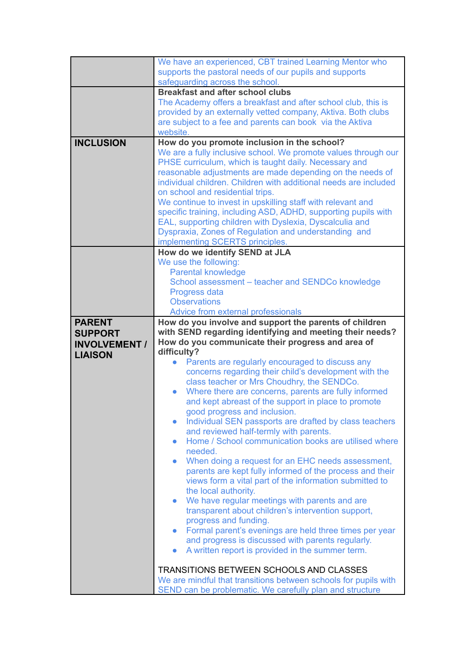|                      | We have an experienced, CBT trained Learning Mentor who             |  |  |  |  |
|----------------------|---------------------------------------------------------------------|--|--|--|--|
|                      | supports the pastoral needs of our pupils and supports              |  |  |  |  |
|                      | safeguarding across the school.                                     |  |  |  |  |
|                      |                                                                     |  |  |  |  |
|                      | <b>Breakfast and after school clubs</b>                             |  |  |  |  |
|                      | The Academy offers a breakfast and after school club, this is       |  |  |  |  |
|                      | provided by an externally vetted company, Aktiva. Both clubs        |  |  |  |  |
|                      | are subject to a fee and parents can book via the Aktiva            |  |  |  |  |
|                      | website.                                                            |  |  |  |  |
| <b>INCLUSION</b>     | How do you promote inclusion in the school?                         |  |  |  |  |
|                      | We are a fully inclusive school. We promote values through our      |  |  |  |  |
|                      | PHSE curriculum, which is taught daily. Necessary and               |  |  |  |  |
|                      | reasonable adjustments are made depending on the needs of           |  |  |  |  |
|                      | individual children. Children with additional needs are included    |  |  |  |  |
|                      | on school and residential trips.                                    |  |  |  |  |
|                      | We continue to invest in upskilling staff with relevant and         |  |  |  |  |
|                      | specific training, including ASD, ADHD, supporting pupils with      |  |  |  |  |
|                      | EAL, supporting children with Dyslexia, Dyscalculia and             |  |  |  |  |
|                      | Dyspraxia, Zones of Regulation and understanding and                |  |  |  |  |
|                      |                                                                     |  |  |  |  |
|                      | implementing SCERTS principles.                                     |  |  |  |  |
|                      | How do we identify SEND at JLA                                      |  |  |  |  |
|                      | We use the following:                                               |  |  |  |  |
|                      | <b>Parental knowledge</b>                                           |  |  |  |  |
|                      | School assessment - teacher and SENDCo knowledge                    |  |  |  |  |
|                      | Progress data                                                       |  |  |  |  |
|                      | <b>Observations</b>                                                 |  |  |  |  |
|                      | Advice from external professionals                                  |  |  |  |  |
| <b>PARENT</b>        | How do you involve and support the parents of children              |  |  |  |  |
|                      |                                                                     |  |  |  |  |
|                      |                                                                     |  |  |  |  |
| <b>SUPPORT</b>       | with SEND regarding identifying and meeting their needs?            |  |  |  |  |
| <b>INVOLVEMENT /</b> | How do you communicate their progress and area of                   |  |  |  |  |
| <b>LIAISON</b>       | difficulty?                                                         |  |  |  |  |
|                      | Parents are regularly encouraged to discuss any                     |  |  |  |  |
|                      | concerns regarding their child's development with the               |  |  |  |  |
|                      | class teacher or Mrs Choudhry, the SENDCo.                          |  |  |  |  |
|                      | Where there are concerns, parents are fully informed                |  |  |  |  |
|                      | and kept abreast of the support in place to promote                 |  |  |  |  |
|                      | good progress and inclusion.                                        |  |  |  |  |
|                      | Individual SEN passports are drafted by class teachers<br>$\bullet$ |  |  |  |  |
|                      | and reviewed half-termly with parents.                              |  |  |  |  |
|                      | Home / School communication books are utilised where<br>$\bullet$   |  |  |  |  |
|                      | needed.                                                             |  |  |  |  |
|                      | When doing a request for an EHC needs assessment,<br>$\bullet$      |  |  |  |  |
|                      | parents are kept fully informed of the process and their            |  |  |  |  |
|                      | views form a vital part of the information submitted to             |  |  |  |  |
|                      | the local authority.                                                |  |  |  |  |
|                      | We have regular meetings with parents and are<br>$\bullet$          |  |  |  |  |
|                      | transparent about children's intervention support,                  |  |  |  |  |
|                      | progress and funding.                                               |  |  |  |  |
|                      | Formal parent's evenings are held three times per year              |  |  |  |  |
|                      | and progress is discussed with parents regularly.                   |  |  |  |  |
|                      | $\bullet$                                                           |  |  |  |  |
|                      | A written report is provided in the summer term.                    |  |  |  |  |
|                      | TRANSITIONS BETWEEN SCHOOLS AND CLASSES                             |  |  |  |  |
|                      | We are mindful that transitions between schools for pupils with     |  |  |  |  |